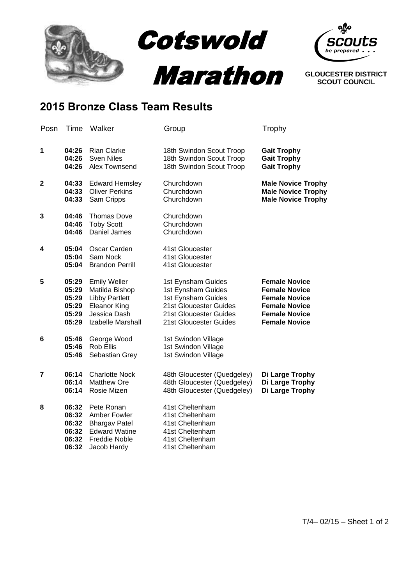

## **2015 Bronze Class Team Results**

| Posn        | Time                                               | Walker                                                                                                                     | Group                                                                                                                                        | Trophy                                                                                                                                       |
|-------------|----------------------------------------------------|----------------------------------------------------------------------------------------------------------------------------|----------------------------------------------------------------------------------------------------------------------------------------------|----------------------------------------------------------------------------------------------------------------------------------------------|
| 1           | 04:26<br>04:26<br>04:26                            | <b>Rian Clarke</b><br><b>Sven Niles</b><br>Alex Townsend                                                                   | 18th Swindon Scout Troop<br>18th Swindon Scout Troop<br>18th Swindon Scout Troop                                                             | <b>Gait Trophy</b><br><b>Gait Trophy</b><br><b>Gait Trophy</b>                                                                               |
| $\mathbf 2$ | 04:33<br>04:33<br>04:33                            | <b>Edward Hemsley</b><br><b>Oliver Perkins</b><br>Sam Cripps                                                               | Churchdown<br>Churchdown<br>Churchdown                                                                                                       | <b>Male Novice Trophy</b><br><b>Male Novice Trophy</b><br><b>Male Novice Trophy</b>                                                          |
| 3           | 04:46<br>04:46<br>04:46                            | <b>Thomas Dove</b><br><b>Toby Scott</b><br><b>Daniel James</b>                                                             | Churchdown<br>Churchdown<br>Churchdown                                                                                                       |                                                                                                                                              |
| 4           | 05:04<br>05:04<br>05:04                            | Oscar Carden<br>Sam Nock<br><b>Brandon Perrill</b>                                                                         | 41st Gloucester<br>41st Gloucester<br>41st Gloucester                                                                                        |                                                                                                                                              |
| 5           | 05:29<br>05:29<br>05:29<br>05:29<br>05:29<br>05:29 | <b>Emily Weller</b><br>Matilda Bishop<br><b>Libby Partlett</b><br><b>Eleanor King</b><br>Jessica Dash<br>Izabelle Marshall | 1st Eynsham Guides<br>1st Eynsham Guides<br>1st Eynsham Guides<br>21st Gloucester Guides<br>21st Gloucester Guides<br>21st Gloucester Guides | <b>Female Novice</b><br><b>Female Novice</b><br><b>Female Novice</b><br><b>Female Novice</b><br><b>Female Novice</b><br><b>Female Novice</b> |
| 6           | 05:46<br>05:46<br>05:46                            | George Wood<br><b>Rob Ellis</b><br>Sebastian Grey                                                                          | 1st Swindon Village<br>1st Swindon Village<br>1st Swindon Village                                                                            |                                                                                                                                              |
| 7           | 06:14<br>06:14<br>06:14                            | <b>Charlotte Nock</b><br><b>Matthew Ore</b><br>Rosie Mizen                                                                 | 48th Gloucester (Quedgeley)<br>48th Gloucester (Quedgeley)<br>48th Gloucester (Quedgeley)                                                    | Di Large Trophy<br>Di Large Trophy<br>Di Large Trophy                                                                                        |
| 8           | 06:32<br>06:32<br>06:32<br>06:32<br>06:32<br>06:32 | Pete Ronan<br>Amber Fowler<br><b>Bhargav Patel</b><br><b>Edward Watine</b><br><b>Freddie Noble</b><br>Jacob Hardy          | 41st Cheltenham<br>41st Cheltenham<br>41st Cheltenham<br>41st Cheltenham<br>41st Cheltenham<br>41st Cheltenham                               |                                                                                                                                              |